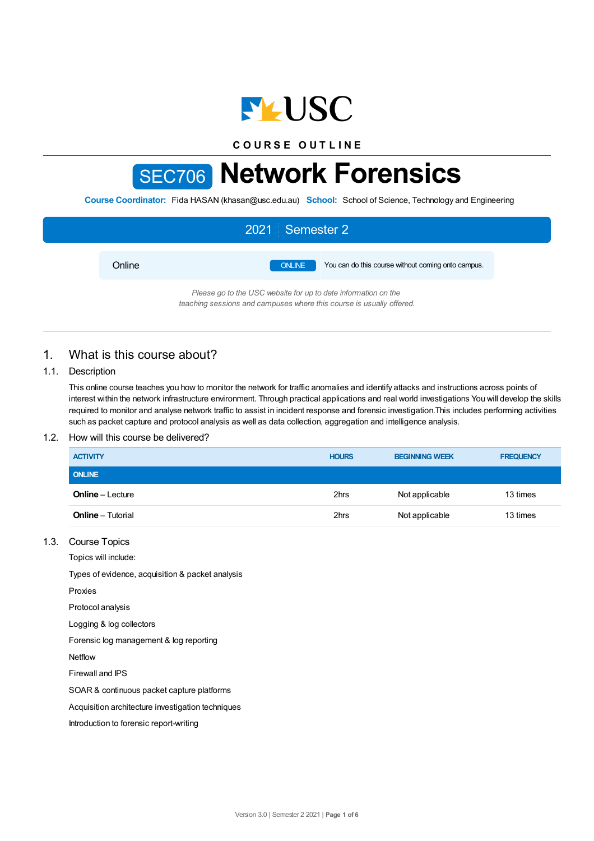

**C O U R S E O U T L I N E**

# SEC706 **Network Forensics**

**Course Coordinator:** Fida HASAN (khasan@usc.edu.au) **School:** School of Science, Technology and Engineering

|        | 2021 Semester 2                                                     |
|--------|---------------------------------------------------------------------|
| Online | You can do this course without coming onto campus.<br><b>ONLINE</b> |
|        | Please go to the USC website for up to date information on the      |

*teaching sessions and campuses where this course is usually offered.*

# 1. What is this course about?

## 1.1. Description

This online course teaches you how to monitor the network for traffic anomalies and identify attacks and instructions across points of interest within the network infrastructure environment. Through practical applications and real world investigations You will develop the skills required to monitor and analyse network traffic to assist in incident response and forensic investigation.This includes performing activities such as packet capture and protocol analysis as well as data collection, aggregation and intelligence analysis.

## 1.2. How will this course be delivered?

| <b>ACTIVITY</b>          | <b>HOURS</b> | <b>BEGINNING WEEK</b> | <b>FREQUENCY</b> |
|--------------------------|--------------|-----------------------|------------------|
| <b>ONLINE</b>            |              |                       |                  |
| <b>Online</b> – Lecture  | 2hrs         | Not applicable        | 13 times         |
| <b>Online</b> – Tutorial | 2hrs         | Not applicable        | 13 times         |

## 1.3. Course Topics

Topics will include:

Types of evidence, acquisition & packet analysis

Proxies

Protocol analysis

Logging & log collectors

Forensic log management & log reporting

Netflow

Firewall and IPS

SOAR & continuous packet capture platforms

Acquisition architecture investigation techniques

Introduction to forensic report-writing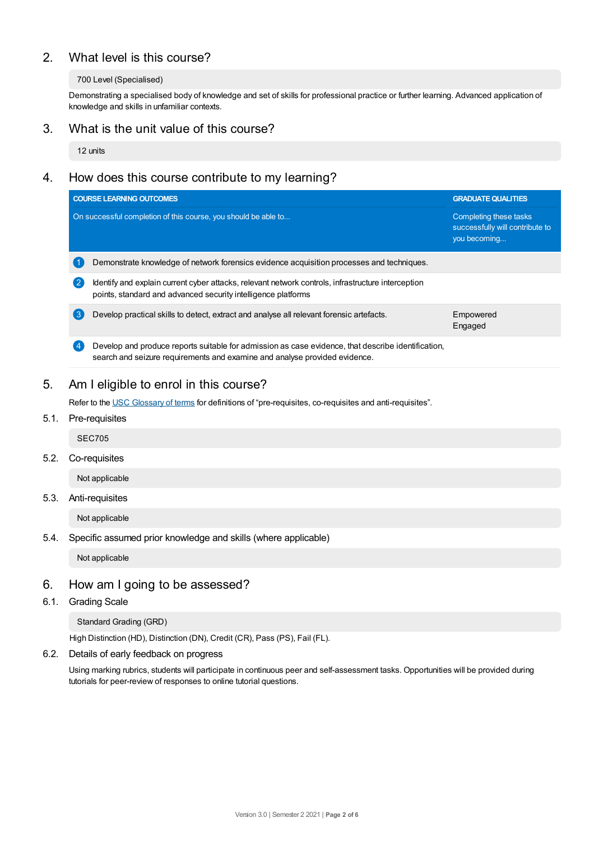# 2. What level is this course?

## 700 Level (Specialised)

Demonstrating a specialised body of knowledge and set of skills for professional practice or further learning. Advanced application of knowledge and skills in unfamiliar contexts.

## 3. What is the unit value of this course?

12 units

# 4. How does this course contribute to my learning?

|                | <b>COURSE LEARNING OUTCOMES</b>                                                                                                                                                  | <b>GRADUATE QUALITIES</b>                                                 |  |
|----------------|----------------------------------------------------------------------------------------------------------------------------------------------------------------------------------|---------------------------------------------------------------------------|--|
|                | On successful completion of this course, you should be able to                                                                                                                   | Completing these tasks<br>successfully will contribute to<br>you becoming |  |
|                | Demonstrate knowledge of network forensics evidence acquisition processes and techniques.                                                                                        |                                                                           |  |
| $\mathbf{2}$   | Identify and explain current cyber attacks, relevant network controls, infrastructure interception<br>points, standard and advanced security intelligence platforms              |                                                                           |  |
| 3              | Develop practical skills to detect, extract and analyse all relevant forensic artefacts.                                                                                         | Empowered<br>Engaged                                                      |  |
| $\overline{4}$ | Develop and produce reports suitable for admission as case evidence, that describe identification,<br>search and seizure requirements and examine and analyse provided evidence. |                                                                           |  |

# 5. Am Ieligible to enrol in this course?

Refer to the USC [Glossary](https://www.usc.edu.au/about/policies-and-procedures/glossary-of-terms-for-policy-and-procedures) of terms for definitions of "pre-requisites, co-requisites and anti-requisites".

## 5.1. Pre-requisites

SEC705

5.2. Co-requisites

Not applicable

## 5.3. Anti-requisites

Not applicable

## 5.4. Specific assumed prior knowledge and skills (where applicable)

Not applicable

## 6. How am Igoing to be assessed?

6.1. Grading Scale

Standard Grading (GRD)

High Distinction (HD), Distinction (DN), Credit (CR), Pass (PS), Fail (FL).

6.2. Details of early feedback on progress

Using marking rubrics, students will participate in continuous peer and self-assessment tasks. Opportunities will be provided during tutorials for peer-review of responses to online tutorial questions.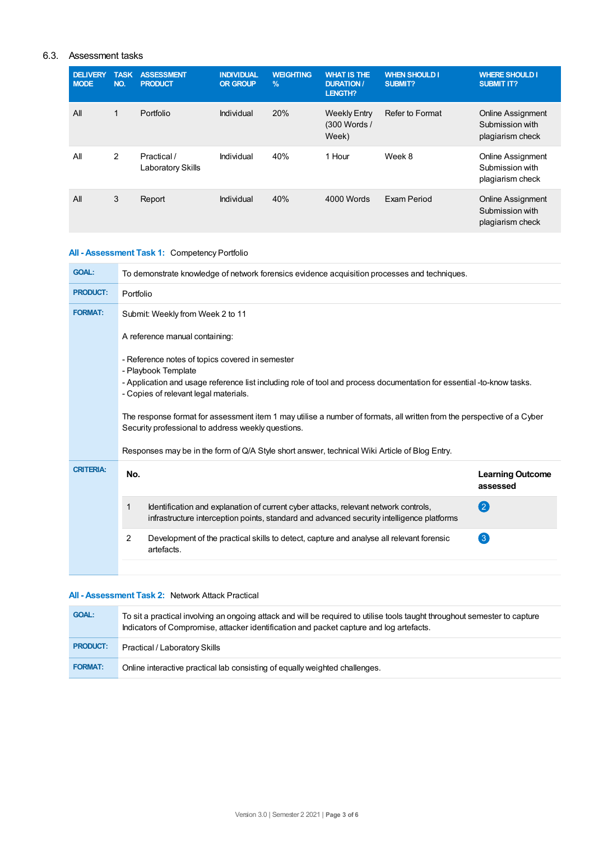## 6.3. Assessment tasks

| <b>DELIVERY</b><br><b>MODE</b> | <b>TASK</b><br>NO. | <b>ASSESSMENT</b><br><b>PRODUCT</b> | <b>INDIVIDUAL</b><br><b>OR GROUP</b> | <b>WEIGHTING</b><br>$\frac{9}{6}$ | <b>WHAT IS THE</b><br><b>DURATION /</b><br>LENGTH? | <b>WHEN SHOULD I</b><br>SUBMIT? | <b>WHERE SHOULD I</b><br><b>SUBMIT IT?</b>                      |
|--------------------------------|--------------------|-------------------------------------|--------------------------------------|-----------------------------------|----------------------------------------------------|---------------------------------|-----------------------------------------------------------------|
| All                            | 1                  | Portfolio                           | Individual                           | 20%                               | <b>Weekly Entry</b><br>(300 Words /<br>Week)       | Refer to Format                 | <b>Online Assignment</b><br>Submission with<br>plagiarism check |
| All                            | 2                  | Practical /<br>Laboratory Skills    | Individual                           | 40%                               | 1 Hour                                             | Week 8                          | <b>Online Assignment</b><br>Submission with<br>plagiarism check |
| All                            | 3                  | Report                              | Individual                           | 40%                               | 4000 Words                                         | Exam Period                     | <b>Online Assignment</b><br>Submission with<br>plagiarism check |

## **All - Assessment Task 1:** Competency Portfolio

| <b>GOAL:</b>                                                                                                                                                                                                                             | To demonstrate knowledge of network forensics evidence acquisition processes and techniques.                                                                                          |                                     |  |  |
|------------------------------------------------------------------------------------------------------------------------------------------------------------------------------------------------------------------------------------------|---------------------------------------------------------------------------------------------------------------------------------------------------------------------------------------|-------------------------------------|--|--|
| <b>PRODUCT:</b>                                                                                                                                                                                                                          | Portfolio                                                                                                                                                                             |                                     |  |  |
| <b>FORMAT:</b>                                                                                                                                                                                                                           | Submit: Weekly from Week 2 to 11                                                                                                                                                      |                                     |  |  |
|                                                                                                                                                                                                                                          | A reference manual containing:                                                                                                                                                        |                                     |  |  |
| - Reference notes of topics covered in semester<br>- Playbook Template<br>- Application and usage reference list including role of tool and process documentation for essential -to-know tasks.<br>- Copies of relevant legal materials. |                                                                                                                                                                                       |                                     |  |  |
|                                                                                                                                                                                                                                          | The response format for assessment item 1 may utilise a number of formats, all written from the perspective of a Cyber<br>Security professional to address weekly questions.          |                                     |  |  |
|                                                                                                                                                                                                                                          | Responses may be in the form of Q/A Style short answer, technical Wiki Article of Blog Entry.                                                                                         |                                     |  |  |
| <b>CRITERIA:</b>                                                                                                                                                                                                                         | No.                                                                                                                                                                                   | <b>Learning Outcome</b><br>assessed |  |  |
|                                                                                                                                                                                                                                          | Identification and explanation of current cyber attacks, relevant network controls,<br>1<br>infrastructure interception points, standard and advanced security intelligence platforms | 2                                   |  |  |
|                                                                                                                                                                                                                                          | 2<br>Development of the practical skills to detect, capture and analyse all relevant forensic<br>artefacts.                                                                           | $\left( 3\right)$                   |  |  |
|                                                                                                                                                                                                                                          |                                                                                                                                                                                       |                                     |  |  |

## **All - Assessment Task 2:** Network Attack Practical

| <b>GOAL:</b>    | To sit a practical involving an ongoing attack and will be required to utilise tools taught throughout semester to capture<br>Indicators of Compromise, attacker identification and packet capture and log artefacts. |
|-----------------|-----------------------------------------------------------------------------------------------------------------------------------------------------------------------------------------------------------------------|
| <b>PRODUCT:</b> | Practical / Laboratory Skills                                                                                                                                                                                         |
| <b>FORMAT:</b>  | Online interactive practical lab consisting of equally weighted challenges.                                                                                                                                           |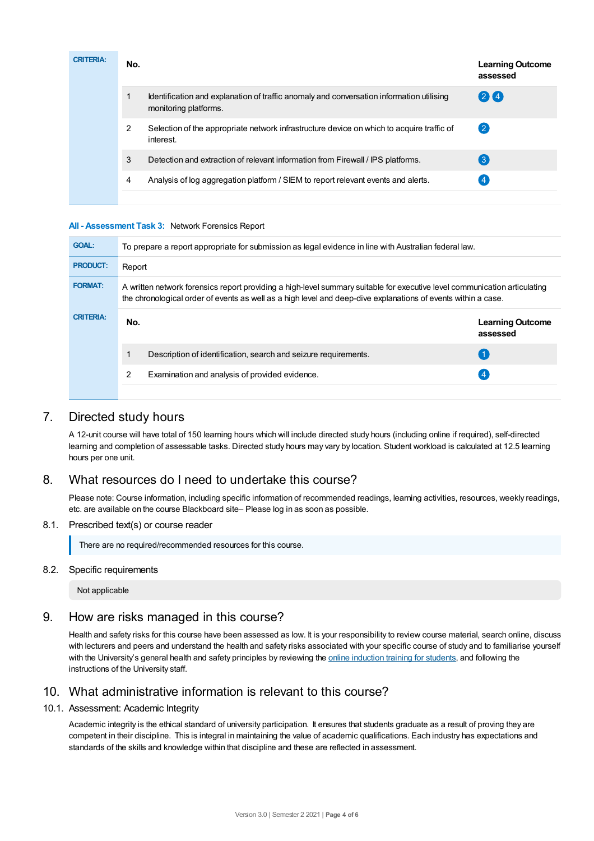| <b>CRITERIA:</b> | No. |                                                                                                                   | <b>Learning Outcome</b><br>assessed |
|------------------|-----|-------------------------------------------------------------------------------------------------------------------|-------------------------------------|
|                  |     | Identification and explanation of traffic anomaly and conversation information utilising<br>monitoring platforms. | 24                                  |
|                  | 2   | Selection of the appropriate network infrastructure device on which to acquire traffic of<br>interest.            | $\mathbf{2}$                        |
|                  | 3   | Detection and extraction of relevant information from Firewall / IPS platforms.                                   | $\mathbf{3}$                        |
|                  | 4   | Analysis of log aggregation platform / SIEM to report relevant events and alerts.                                 | 4                                   |
|                  |     |                                                                                                                   |                                     |

#### **All - Assessment Task 3:** Network Forensics Report

| <b>GOAL:</b>     | To prepare a report appropriate for submission as legal evidence in line with Australian federal law.                                                                                                                                      |                                     |  |
|------------------|--------------------------------------------------------------------------------------------------------------------------------------------------------------------------------------------------------------------------------------------|-------------------------------------|--|
| <b>PRODUCT:</b>  | Report                                                                                                                                                                                                                                     |                                     |  |
| <b>FORMAT:</b>   | A written network forensics report providing a high-level summary suitable for executive level communication articulating<br>the chronological order of events as well as a high level and deep-dive explanations of events within a case. |                                     |  |
| <b>CRITERIA:</b> | No.                                                                                                                                                                                                                                        | <b>Learning Outcome</b><br>assessed |  |
|                  |                                                                                                                                                                                                                                            |                                     |  |
|                  | Description of identification, search and seizure requirements.                                                                                                                                                                            |                                     |  |
|                  | 2<br>Examination and analysis of provided evidence.                                                                                                                                                                                        |                                     |  |

# 7. Directed study hours

A 12-unit course will have total of 150 learning hours which will include directed study hours (including online if required), self-directed learning and completion of assessable tasks. Directed study hours may vary by location. Student workload is calculated at 12.5 learning hours per one unit.

# 8. What resources do I need to undertake this course?

Please note: Course information, including specific information of recommended readings, learning activities, resources, weekly readings, etc. are available on the course Blackboard site– Please log in as soon as possible.

#### 8.1. Prescribed text(s) or course reader

There are no required/recommended resources for this course.

## 8.2. Specific requirements

Not applicable

# 9. How are risks managed in this course?

Health and safety risks for this course have been assessed as low. It is your responsibility to review course material, search online, discuss with lecturers and peers and understand the health and safety risks associated with your specific course of study and to familiarise yourself with the University's general health and safety principles by reviewing the online [induction](https://online.usc.edu.au/webapps/blackboard/content/listContentEditable.jsp?content_id=_632657_1&course_id=_14432_1) training for students, and following the instructions of the University staff.

# 10. What administrative information is relevant to this course?

#### 10.1. Assessment: Academic Integrity

Academic integrity is the ethical standard of university participation. It ensures that students graduate as a result of proving they are competent in their discipline. This is integral in maintaining the value of academic qualifications. Each industry has expectations and standards of the skills and knowledge within that discipline and these are reflected in assessment.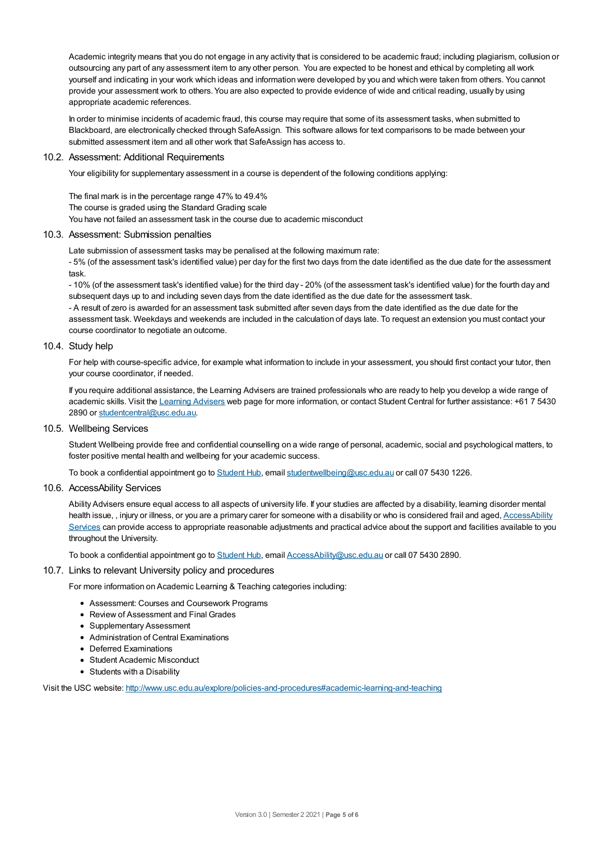Academic integrity means that you do not engage in any activity that is considered to be academic fraud; including plagiarism, collusion or outsourcing any part of any assessment item to any other person. You are expected to be honest and ethical by completing all work yourself and indicating in your work which ideas and information were developed by you and which were taken from others. You cannot provide your assessment work to others.You are also expected to provide evidence of wide and critical reading, usually by using appropriate academic references.

In order to minimise incidents of academic fraud, this course may require that some of its assessment tasks, when submitted to Blackboard, are electronically checked through SafeAssign. This software allows for text comparisons to be made between your submitted assessment item and all other work that SafeAssign has access to.

#### 10.2. Assessment: Additional Requirements

Your eligibility for supplementary assessment in a course is dependent of the following conditions applying:

The final mark is in the percentage range 47% to 49.4% The course is graded using the Standard Grading scale You have not failed an assessment task in the course due to academic misconduct

#### 10.3. Assessment: Submission penalties

Late submission of assessment tasks may be penalised at the following maximum rate:

- 5% (of the assessment task's identified value) per day for the first two days from the date identified as the due date for the assessment task.

- 10% (of the assessment task's identified value) for the third day - 20% (of the assessment task's identified value) for the fourth day and subsequent days up to and including seven days from the date identified as the due date for the assessment task.

- A result of zero is awarded for an assessment task submitted after seven days from the date identified as the due date for the assessment task. Weekdays and weekends are included in the calculation of days late. To request an extension you must contact your course coordinator to negotiate an outcome.

#### 10.4. Study help

For help with course-specific advice, for example what information to include in your assessment, you should first contact your tutor, then your course coordinator, if needed.

If you require additional assistance, the Learning Advisers are trained professionals who are ready to help you develop a wide range of academic skills. Visit the Learning [Advisers](https://www.usc.edu.au/current-students/student-support/academic-and-study-support/learning-advisers) web page for more information, or contact Student Central for further assistance: +61 7 5430 2890 or [studentcentral@usc.edu.au](mailto:studentcentral@usc.edu.au).

#### 10.5. Wellbeing Services

Student Wellbeing provide free and confidential counselling on a wide range of personal, academic, social and psychological matters, to foster positive mental health and wellbeing for your academic success.

To book a confidential appointment go to [Student](https://studenthub.usc.edu.au/) Hub, email [studentwellbeing@usc.edu.au](mailto:studentwellbeing@usc.edu.au) or call 07 5430 1226.

#### 10.6. AccessAbility Services

Ability Advisers ensure equal access to all aspects of university life. If your studies are affected by a disability, learning disorder mental health issue, , injury or illness, or you are a primary carer for someone with a disability or who is considered frail and aged, [AccessAbility](https://www.usc.edu.au/learn/student-support/accessability-services/documentation-requirements) Services can provide access to appropriate reasonable adjustments and practical advice about the support and facilities available to you throughout the University.

To book a confidential appointment go to [Student](https://studenthub.usc.edu.au/) Hub, email [AccessAbility@usc.edu.au](mailto:AccessAbility@usc.edu.au) or call 07 5430 2890.

#### 10.7. Links to relevant University policy and procedures

For more information on Academic Learning & Teaching categories including:

- Assessment: Courses and Coursework Programs
- Review of Assessment and Final Grades
- Supplementary Assessment
- Administration of Central Examinations
- **•** Deferred Examinations
- Student Academic Misconduct
- Students with a Disability

Visit the USC website: <http://www.usc.edu.au/explore/policies-and-procedures#academic-learning-and-teaching>